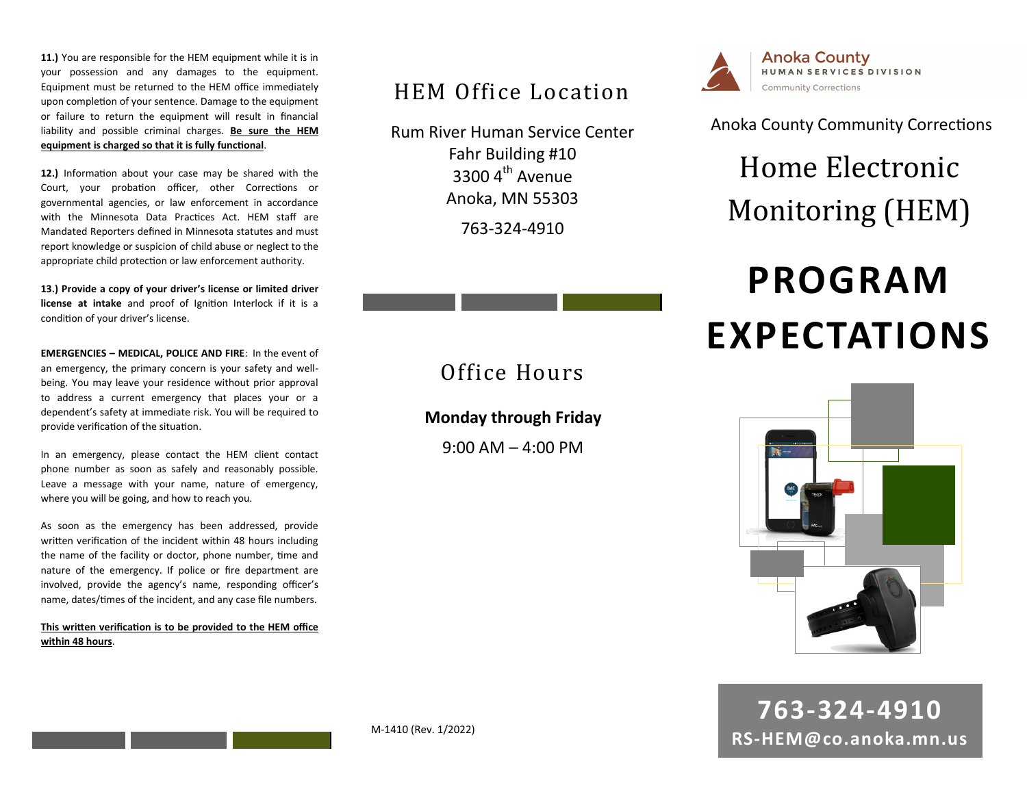**11.)** You are responsible for the HEM equipment while it is in your possession and any damages to the equipment. Equipment must be returned to the HEM office immediately upon completion of your sentence. Damage to the equipment or failure to return the equipment will result in financial liability and possible criminal charges. **Be sure the HEM equipment is charged so that it is fully functional**.

**12.)** Information about your case may be shared with the Court, your probation officer, other Corrections or governmental agencies, or law enforcement in accordance with the Minnesota Data Practices Act. HEM staff are Mandated Reporters defined in Minnesota statutes and must report knowledge or suspicion of child abuse or neglect to the appropriate child protection or law enforcement authority.

**13.) Provide a copy of your driver's license or limited driver license at intake** and proof of Ignition Interlock if it is a condition of your driver's license.

**EMERGENCIES – MEDICAL, POLICE AND FIRE**: In the event of an emergency, the primary concern is your safety and wellbeing. You may leave your residence without prior approval to address a current emergency that places your or a dependent's safety at immediate risk. You will be required to provide verification of the situation.

In an emergency, please contact the HEM client contact phone number as soon as safely and reasonably possible. Leave a message with your name, nature of emergency, where you will be going, and how to reach you.

As soon as the emergency has been addressed, provide written verification of the incident within 48 hours including the name of the facility or doctor, phone number, time and nature of the emergency. If police or fire department are involved, provide the agency's name, responding officer's name, dates/times of the incident, and any case file numbers.

**This written verification is to be provided to the HEM office within 48 hours**.

### HEM Office Location

Rum River Human Service Center Fahr Building #10  $3300$  4<sup>th</sup> Avenue Anoka, MN 55303

763-324-4910

## Office Hours

#### **Monday through Friday**

 $9:00$  AM  $-$  4:00 PM



Anoka County Community Corrections

## Home Electronic Monitoring (HEM)

# **PROGRAM EXPECTATIONS**



**763-324-4910 RS-HEM@co.anoka.mn.us**